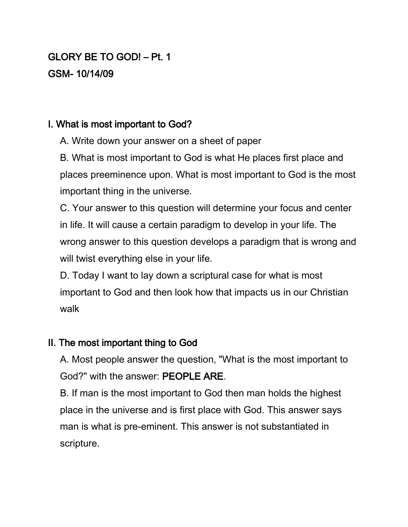# GLORY BE TO GOD! – Pt. 1 GSM- 10/14/09

## I. What is most important to God?

A. Write down your answer on a sheet of paper

B. What is most important to God is what He places first place and places preeminence upon. What is most important to God is the most important thing in the universe.

C. Your answer to this question will determine your focus and center in life. It will cause a certain paradigm to develop in your life. The wrong answer to this question develops a paradigm that is wrong and will twist everything else in your life.

D. Today I want to lay down a scriptural case for what is most important to God and then look how that impacts us in our Christian walk

### II. The most important thing to God

A. Most people answer the question, "What is the most important to God?" with the answer: PEOPLE ARE.

B. If man is the most important to God then man holds the highest place in the universe and is first place with God. This answer says man is what is pre-eminent. This answer is not substantiated in scripture.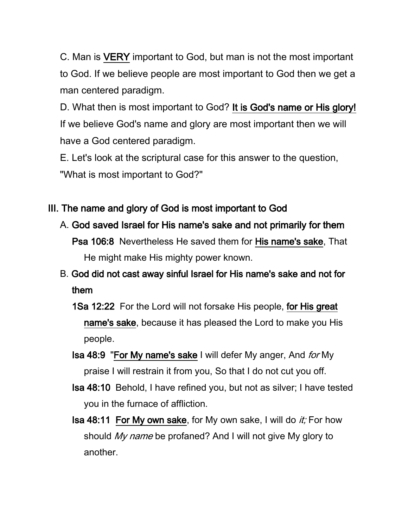C. Man is VERY important to God, but man is not the most important to God. If we believe people are most important to God then we get a man centered paradigm.

D. What then is most important to God? It is God's name or His glory! If we believe God's name and glory are most important then we will have a God centered paradigm.

E. Let's look at the scriptural case for this answer to the question, "What is most important to God?"

## III. The name and glory of God is most important to God

A. God saved Israel for His name's sake and not primarily for them Psa 106:8 Nevertheless He saved them for His name's sake, That He might make His mighty power known.

# B. God did not cast away sinful Israel for His name's sake and not for them

- 1Sa 12:22 For the Lord will not forsake His people, for His great name's sake, because it has pleased the Lord to make you His people.
- **Isa 48:9 "For My name's sake I will defer My anger, And for My** praise I will restrain it from you, So that I do not cut you off.
- Isa 48:10 Behold, I have refined you, but not as silver; I have tested you in the furnace of affliction.
- **Isa 48:11 For My own sake, for My own sake, I will do it; For how** should My name be profaned? And I will not give My glory to another.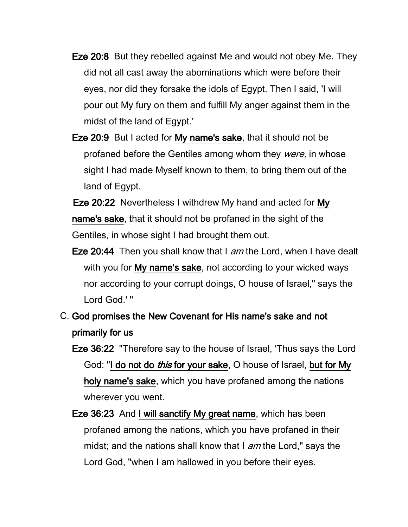- Eze 20:8 But they rebelled against Me and would not obey Me. They did not all cast away the abominations which were before their eyes, nor did they forsake the idols of Egypt. Then I said, 'I will pour out My fury on them and fulfill My anger against them in the midst of the land of Egypt.'
- Eze 20:9 But I acted for My name's sake, that it should not be profaned before the Gentiles among whom they were, in whose sight I had made Myself known to them, to bring them out of the land of Egypt.
- Eze 20:22 Nevertheless I withdrew My hand and acted for My name's sake, that it should not be profaned in the sight of the Gentiles, in whose sight I had brought them out.
- Eze 20:44 Then you shall know that I am the Lord, when I have dealt with you for My name's sake, not according to your wicked ways nor according to your corrupt doings, O house of Israel," says the Lord God.' "
- C. God promises the New Covenant for His name's sake and not primarily for us
	- Eze 36:22 "Therefore say to the house of Israel, 'Thus says the Lord God: "I do not do *this* for your sake, O house of Israel, but for My holy name's sake, which you have profaned among the nations wherever you went.
	- Eze 36:23 And I will sanctify My great name, which has been profaned among the nations, which you have profaned in their midst; and the nations shall know that I am the Lord," says the Lord God, "when I am hallowed in you before their eyes.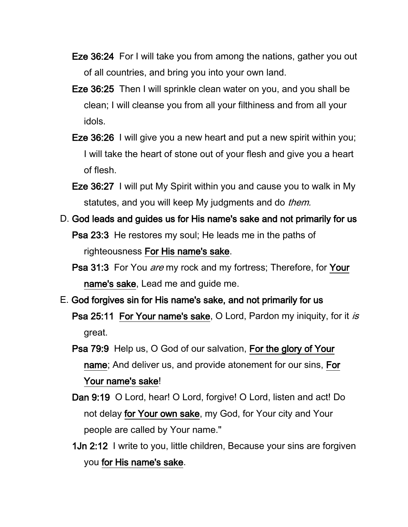- Eze 36:24 For I will take you from among the nations, gather you out of all countries, and bring you into your own land.
- Eze 36:25 Then I will sprinkle clean water on you, and you shall be clean; I will cleanse you from all your filthiness and from all your idols.
- Eze 36:26 I will give you a new heart and put a new spirit within you; I will take the heart of stone out of your flesh and give you a heart of flesh.
- Eze 36:27 I will put My Spirit within you and cause you to walk in My statutes, and you will keep My judgments and do *them.*
- D. God leads and guides us for His name's sake and not primarily for us Psa 23:3 He restores my soul; He leads me in the paths of righteousness For His name's sake.
	- Psa 31:3 For You are my rock and my fortress; Therefore, for Your name's sake, Lead me and guide me.
- E. God forgives sin for His name's sake, and not primarily for us Psa 25:11 For Your name's sake, O Lord, Pardon my iniquity, for it is great.
	- Psa 79:9 Help us, O God of our salvation, For the glory of Your name; And deliver us, and provide atonement for our sins, For Your name's sake!
	- Dan 9:19 O Lord, hear! O Lord, forgive! O Lord, listen and act! Do not delay for Your own sake, my God, for Your city and Your people are called by Your name."
	- 1Jn 2:12 I write to you, little children, Because your sins are forgiven you for His name's sake.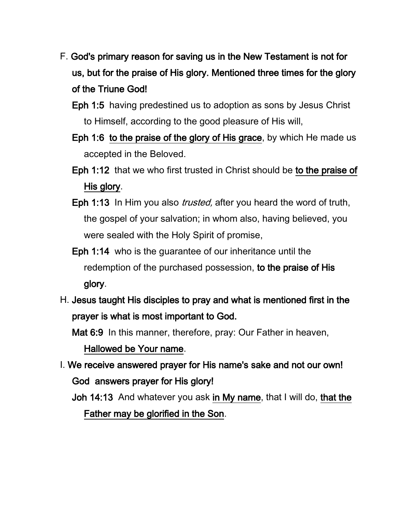- F. God's primary reason for saving us in the New Testament is not for us, but for the praise of His glory. Mentioned three times for the glory of the Triune God!
	- Eph 1:5 having predestined us to adoption as sons by Jesus Christ to Himself, according to the good pleasure of His will,
	- Eph 1:6 to the praise of the glory of His grace, by which He made us accepted in the Beloved.
	- Eph 1:12 that we who first trusted in Christ should be to the praise of His glory.
	- Eph 1:13 In Him you also *trusted*, after you heard the word of truth, the gospel of your salvation; in whom also, having believed, you were sealed with the Holy Spirit of promise,
	- Eph 1:14 who is the guarantee of our inheritance until the redemption of the purchased possession, to the praise of His glory.
- H. Jesus taught His disciples to pray and what is mentioned first in the prayer is what is most important to God.

Mat 6:9 In this manner, therefore, pray: Our Father in heaven,

Hallowed be Your name.

I. We receive answered prayer for His name's sake and not our own! God answers prayer for His glory!

Joh 14:13 And whatever you ask in My name, that I will do, that the Father may be glorified in the Son.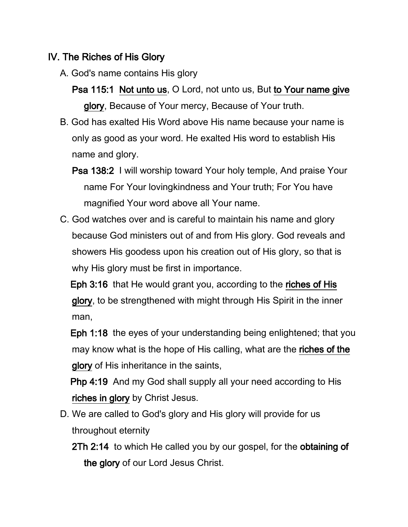## IV. The Riches of His Glory

- A. God's name contains His glory
	- Psa 115:1 Not unto us, O Lord, not unto us, But to Your name give glory, Because of Your mercy, Because of Your truth.
- B. God has exalted His Word above His name because your name is only as good as your word. He exalted His word to establish His name and glory.
	- Psa 138:2 I will worship toward Your holy temple, And praise Your name For Your lovingkindness and Your truth; For You have magnified Your word above all Your name.
- C. God watches over and is careful to maintain his name and glory because God ministers out of and from His glory. God reveals and showers His goodess upon his creation out of His glory, so that is why His glory must be first in importance.

 Eph 3:16 that He would grant you, according to the riches of His glory, to be strengthened with might through His Spirit in the inner man,

 Eph 1:18 the eyes of your understanding being enlightened; that you may know what is the hope of His calling, what are the riches of the glory of His inheritance in the saints,

 Php 4:19 And my God shall supply all your need according to His riches in glory by Christ Jesus.

- D. We are called to God's glory and His glory will provide for us throughout eternity
	- 2Th 2:14 to which He called you by our gospel, for the obtaining of the glory of our Lord Jesus Christ.